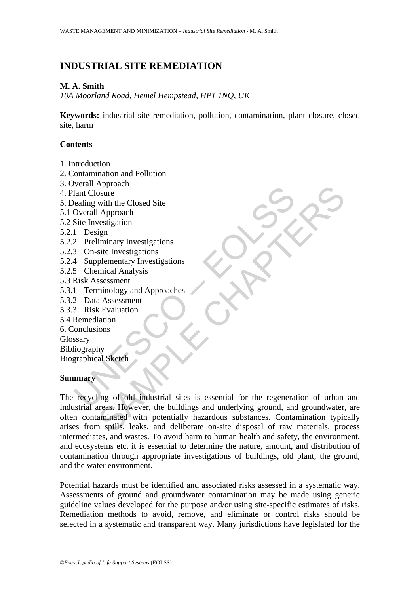# **INDUSTRIAL SITE REMEDIATION**

### **M. A. Smith**

*10A Moorland Road, Hemel Hempstead, HP1 1NQ, UK* 

**Keywords:** industrial site remediation, pollution, contamination, plant closure, closed site, harm

## **Contents**

- 1. Introduction
- 2. Contamination and Pollution
- 3. Overall Approach
- 4. Plant Closure
- 5. Dealing with the Closed Site
- 5.1 Overall Approach
- 5.2 Site Investigation
- 5.2.1 Design
- 5.2.2 Preliminary Investigations
- 5.2.3 On-site Investigations
- 5.2.4 Supplementary Investigations
- 5.2.5 Chemical Analysis
- 5.3 Risk Assessment
- 5.3.1 Terminology and Approaches
- 5.3.2 Data Assessment
- 5.3.3 Risk Evaluation
- 5.4 Remediation
- 6. Conclusions
- Glossary

Bibliography Biographical Sketch

## **Summary**

Mant Closure<br>
Hant Closure<br>
lealing with the Closed Site<br>
Overall Approach<br>
1 Design<br>
2 Preliminary Investigations<br>
3 On-site Investigations<br>
4 Supplementary Investigations<br>
5 Chemical Analysis<br>
Risk Assessment<br>
2 Data Ass Exploration<br>
Solution<br>
Solution<br>
Shappenentary Investigations<br>
ign<br>
iminary Investigations<br>
site Investigations<br>
a Assessment<br>
minology and Approaches<br>
a Assessment<br>
a Assessment<br>
CE Calculation<br>
intion<br>
intion<br>
intion<br>
in The recycling of old industrial sites is essential for the regeneration of urban and industrial areas. However, the buildings and underlying ground, and groundwater, are often contaminated with potentially hazardous substances. Contamination typically arises from spills, leaks, and deliberate on-site disposal of raw materials, process intermediates, and wastes. To avoid harm to human health and safety, the environment, and ecosystems etc. it is essential to determine the nature, amount, and distribution of contamination through appropriate investigations of buildings, old plant, the ground, and the water environment.

Potential hazards must be identified and associated risks assessed in a systematic way. Assessments of ground and groundwater contamination may be made using generic guideline values developed for the purpose and/or using site-specific estimates of risks. Remediation methods to avoid, remove, and eliminate or control risks should be selected in a systematic and transparent way. Many jurisdictions have legislated for the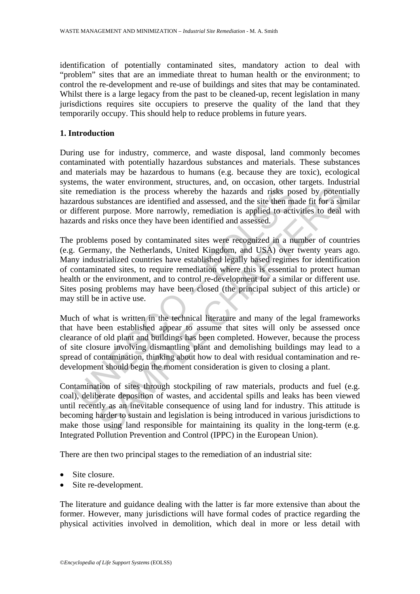identification of potentially contaminated sites, mandatory action to deal with "problem" sites that are an immediate threat to human health or the environment; to control the re-development and re-use of buildings and sites that may be contaminated. Whilst there is a large legacy from the past to be cleaned-up, recent legislation in many jurisdictions requires site occupiers to preserve the quality of the land that they temporarily occupy. This should help to reduce problems in future years.

## **1. Introduction**

During use for industry, commerce, and waste disposal, land commonly becomes contaminated with potentially hazardous substances and materials. These substances and materials may be hazardous to humans (e.g. because they are toxic), ecological systems, the water environment, structures, and, on occasion, other targets. Industrial site remediation is the process whereby the hazards and risks posed by potentially hazardous substances are identified and assessed, and the site then made fit for a similar or different purpose. More narrowly, remediation is applied to activities to deal with hazards and risks once they have been identified and assessed.

remediation is the process whereby the hazards and risks po<br>remediation is the process whereby the hazards and risks po<br>radous substances are identified and assessed, and the site then ma<br>ifferent purpose. More narrowly, r iation is the process whereby the hazards and risks posed by potent<br>aidion is the process whereby the hazards and risks posed by potent<br>substances are identified and assessed, and the site then made fit for a sin<br>t purpose The problems posed by contaminated sites were recognized in a number of countries (e.g. Germany, the Netherlands, United Kingdom, and USA) over twenty years ago. Many industrialized countries have established legally based regimes for identification of contaminated sites, to require remediation where this is essential to protect human health or the environment, and to control re-development for a similar or different use. Sites posing problems may have been closed (the principal subject of this article) or may still be in active use.

Much of what is written in the technical literature and many of the legal frameworks that have been established appear to assume that sites will only be assessed once clearance of old plant and buildings has been completed. However, because the process of site closure involving dismantling plant and demolishing buildings may lead to a spread of contamination, thinking about how to deal with residual contamination and redevelopment should begin the moment consideration is given to closing a plant.

Contamination of sites through stockpiling of raw materials, products and fuel (e.g. coal), deliberate deposition of wastes, and accidental spills and leaks has been viewed until recently as an inevitable consequence of using land for industry. This attitude is becoming harder to sustain and legislation is being introduced in various jurisdictions to make those using land responsible for maintaining its quality in the long-term (e.g. Integrated Pollution Prevention and Control (IPPC) in the European Union).

There are then two principal stages to the remediation of an industrial site:

- Site closure.
- Site re-development.

The literature and guidance dealing with the latter is far more extensive than about the former. However, many jurisdictions will have formal codes of practice regarding the physical activities involved in demolition, which deal in more or less detail with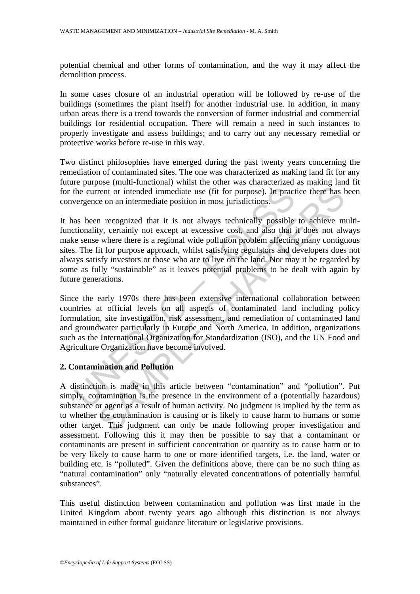potential chemical and other forms of contamination, and the way it may affect the demolition process.

In some cases closure of an industrial operation will be followed by re-use of the buildings (sometimes the plant itself) for another industrial use. In addition, in many urban areas there is a trend towards the conversion of former industrial and commercial buildings for residential occupation. There will remain a need in such instances to properly investigate and assess buildings; and to carry out any necessary remedial or protective works before re-use in this way.

Two distinct philosophies have emerged during the past twenty years concerning the remediation of contaminated sites. The one was characterized as making land fit for any future purpose (multi-functional) whilst the other was characterized as making land fit for the current or intended immediate use (fit for purpose). In practice there has been convergence on an intermediate position in most jurisdictions.

the current or intended immediate use (fit for purpose). In pract<br>vergence on an intermediate position in most jurisdictions.<br>as been recognized that it is not always technically possible<br>tionality, certainly not except at rent or intended immediate use (fit for purpose). In practice there has the communited transform in most jurisdictions.<br>
In practice there has the on an intermediate position in most jurisdictions.<br>
In recognized that it i It has been recognized that it is not always technically possible to achieve multifunctionality, certainly not except at excessive cost, and also that it does not always make sense where there is a regional wide pollution problem affecting many contiguous sites. The fit for purpose approach, whilst satisfying regulators and developers does not always satisfy investors or those who are to live on the land. Nor may it be regarded by some as fully "sustainable" as it leaves potential problems to be dealt with again by future generations.

Since the early 1970s there has been extensive international collaboration between countries at official levels on all aspects of contaminated land including policy formulation, site investigation, risk assessment, and remediation of contaminated land and groundwater particularly in Europe and North America. In addition, organizations such as the International Organization for Standardization (ISO), and the UN Food and Agriculture Organization have become involved.

## **2. Contamination and Pollution**

A distinction is made in this article between "contamination" and "pollution". Put simply, contamination is the presence in the environment of a (potentially hazardous) substance or agent as a result of human activity. No judgment is implied by the term as to whether the contamination is causing or is likely to cause harm to humans or some other target. This judgment can only be made following proper investigation and assessment. Following this it may then be possible to say that a contaminant or contaminants are present in sufficient concentration or quantity as to cause harm or to be very likely to cause harm to one or more identified targets, i.e. the land, water or building etc. is "polluted". Given the definitions above, there can be no such thing as "natural contamination" only "naturally elevated concentrations of potentially harmful substances".

This useful distinction between contamination and pollution was first made in the United Kingdom about twenty years ago although this distinction is not always maintained in either formal guidance literature or legislative provisions.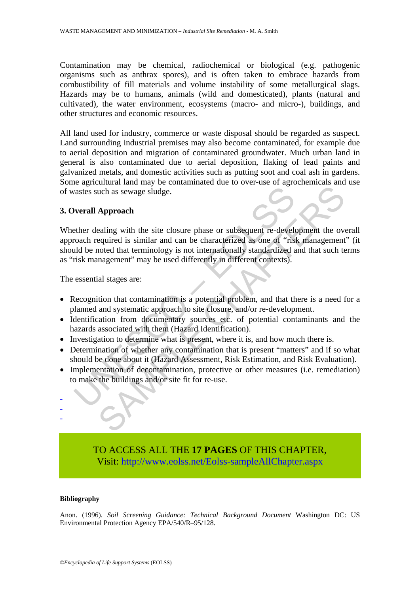Contamination may be chemical, radiochemical or biological (e.g. pathogenic organisms such as anthrax spores), and is often taken to embrace hazards from combustibility of fill materials and volume instability of some metallurgical slags. Hazards may be to humans, animals (wild and domesticated), plants (natural and cultivated), the water environment, ecosystems (macro- and micro-), buildings, and other structures and economic resources.

All land used for industry, commerce or waste disposal should be regarded as suspect. Land surrounding industrial premises may also become contaminated, for example due to aerial deposition and migration of contaminated groundwater. Much urban land in general is also contaminated due to aerial deposition, flaking of lead paints and galvanized metals, and domestic activities such as putting soot and coal ash in gardens. Some agricultural land may be contaminated due to over-use of agrochemicals and use of wastes such as sewage sludge.

## **3. Overall Approach**

variates such as sewage sludge.<br>
verall Approach<br>
there dealing with the site closure phase or subsequent re-develt<br>
orach required is similar and can be characterized as one of "ris<br>
ild be noted that terminology is not i The set of the set of the set of the measures (i.e. remediate the set of the set of the set of the set of the set of the sequired is similar and can be characterized as one of "risk management the overquired is similar and Whether dealing with the site closure phase or subsequent re-development the overall approach required is similar and can be characterized as one of "risk management" (it should be noted that terminology is not internationally standardized and that such terms as "risk management" may be used differently in different contexts).

The essential stages are:

- Recognition that contamination is a potential problem, and that there is a need for a planned and systematic approach to site closure, and/or re-development.
- Identification from documentary sources etc. of potential contaminants and the hazards associated with them (Hazard Identification).
- Investigation to determine what is present, where it is, and how much there is.
- Determination of whether any contamination that is present "matters" and if so what should be done about it (Hazard Assessment, Risk Estimation, and Risk Evaluation).
- Implementation of decontamination, protective or other measures (i.e. remediation) to make the buildings and/or site fit for re-use.

TO ACCESS ALL THE **17 PAGES** OF THIS CHAPTER, Visit: [http://www.eolss.net/Eolss-sampleAllChapter.aspx](https://www.eolss.net/ebooklib/sc_cart.aspx?File=E4-13-05-05)

### **Bibliography**

- - -

Anon. (1996). *Soil Screening Guidance: Technical Background Document* Washington DC: US Environmental Protection Agency EPA/540/R–95/128.